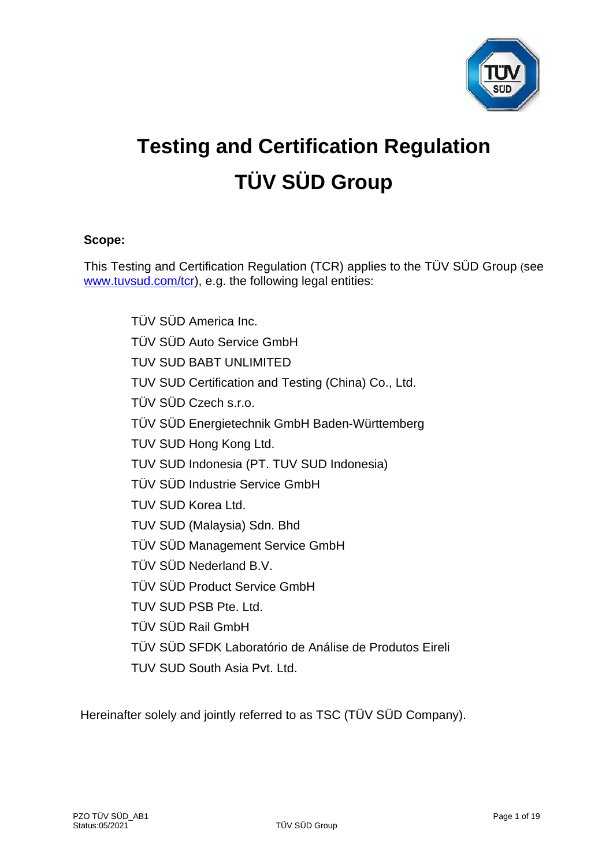

# **Testing and Certification Regulation TÜV SÜD Group**

# **Scope:**

This Testing and Certification Regulation (TCR) applies to the TÜV SÜD Group (see [www.tuvsud.com/tcr\)](http://www.tuvsud.com/tcr), e.g. the following legal entities:

> TÜV SÜD America Inc. TÜV SÜD Auto Service GmbH TUV SUD BABT UNLIMITED TUV SUD Certification and Testing (China) Co., Ltd. TÜV SÜD Czech s.r.o. TÜV SÜD Energietechnik GmbH Baden-Württemberg TUV SUD Hong Kong Ltd. TUV SUD Indonesia (PT. TUV SUD Indonesia) TÜV SÜD Industrie Service GmbH TUV SUD Korea Ltd. TUV SUD (Malaysia) Sdn. Bhd TÜV SÜD Management Service GmbH TÜV SÜD Nederland B.V. TÜV SÜD Product Service GmbH TUV SUD PSB Pte. Ltd. TÜV SÜD Rail GmbH TÜV SÜD SFDK Laboratório de Análise de Produtos Eireli TUV SUD South Asia Pvt. Ltd.

Hereinafter solely and jointly referred to as TSC (TÜV SÜD Company).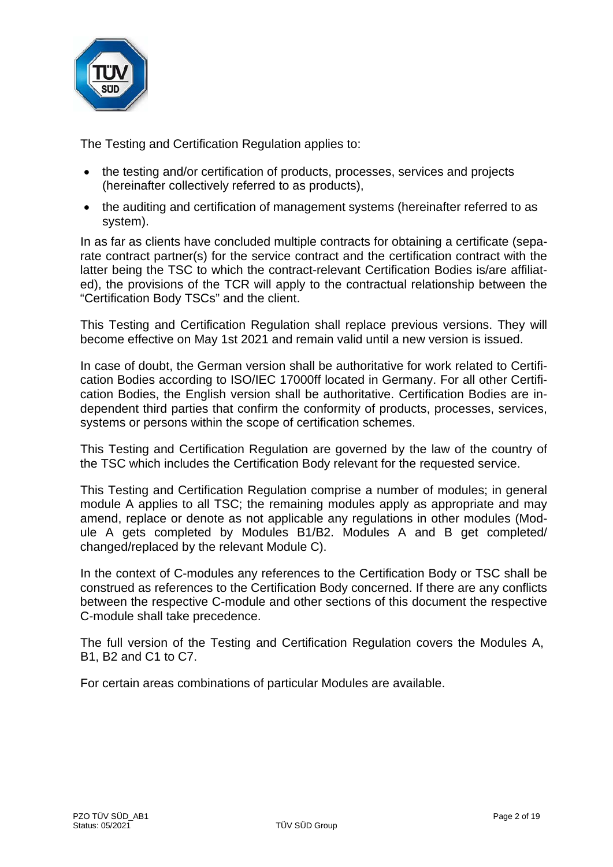

The Testing and Certification Regulation applies to:

- the testing and/or certification of products, processes, services and projects (hereinafter collectively referred to as products),
- the auditing and certification of management systems (hereinafter referred to as system).

In as far as clients have concluded multiple contracts for obtaining a certificate (separate contract partner(s) for the service contract and the certification contract with the latter being the TSC to which the contract-relevant Certification Bodies is/are affiliated), the provisions of the TCR will apply to the contractual relationship between the "Certification Body TSCs" and the client.

This Testing and Certification Regulation shall replace previous versions. They will become effective on May 1st 2021 and remain valid until a new version is issued.

In case of doubt, the German version shall be authoritative for work related to Certification Bodies according to ISO/IEC 17000ff located in Germany. For all other Certification Bodies, the English version shall be authoritative. Certification Bodies are independent third parties that confirm the conformity of products, processes, services, systems or persons within the scope of certification schemes.

This Testing and Certification Regulation are governed by the law of the country of the TSC which includes the Certification Body relevant for the requested service.

This Testing and Certification Regulation comprise a number of modules; in general module A applies to all TSC; the remaining modules apply as appropriate and may amend, replace or denote as not applicable any regulations in other modules (Module A gets completed by Modules B1/B2. Modules A and B get completed/ changed/replaced by the relevant Module C).

In the context of C-modules any references to the Certification Body or TSC shall be construed as references to the Certification Body concerned. If there are any conflicts between the respective C-module and other sections of this document the respective C-module shall take precedence.

The full version of the Testing and Certification Regulation covers the Modules A, B1, B2 and C1 to C7.

For certain areas combinations of particular Modules are available.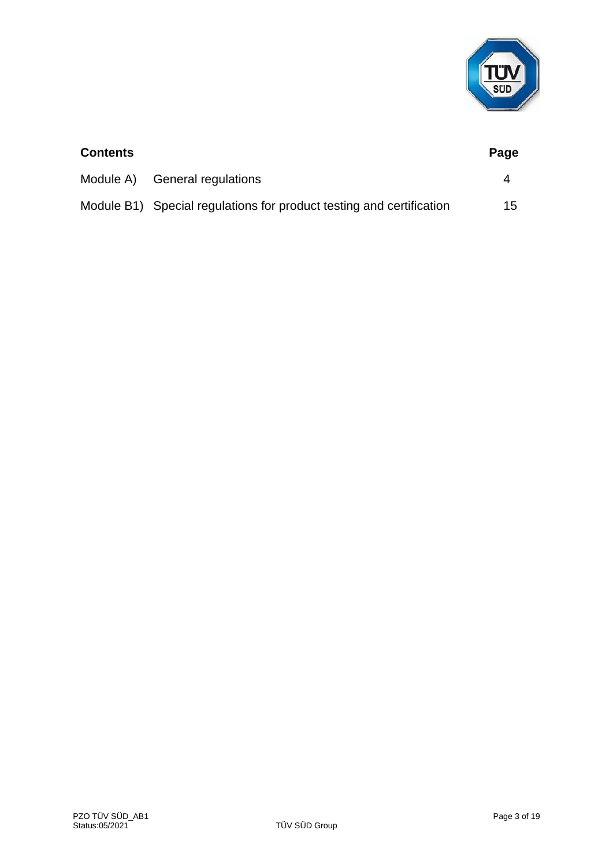

| <b>Contents</b> |                                                                      | Page |
|-----------------|----------------------------------------------------------------------|------|
|                 | Module A) General regulations                                        | 4    |
|                 | Module B1) Special regulations for product testing and certification | 15   |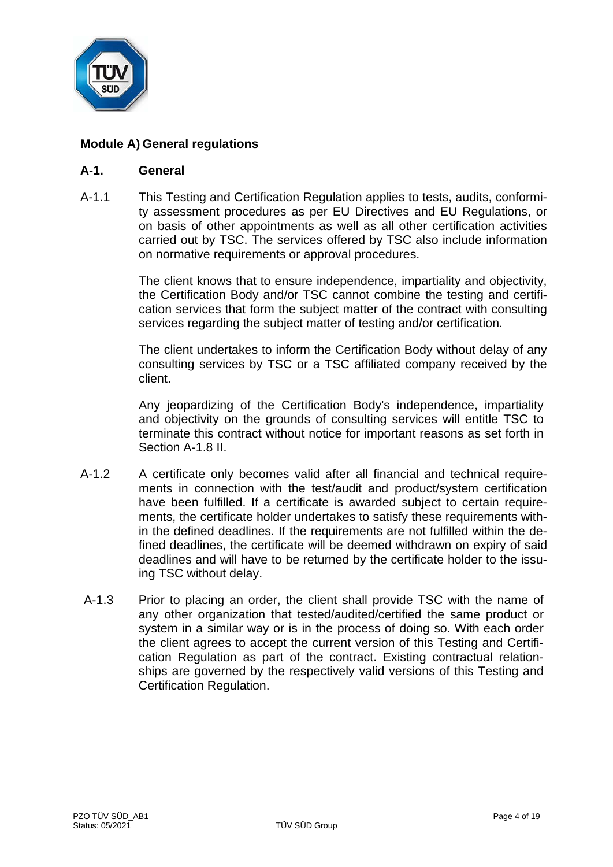

# **Module A) General regulations**

#### **A-1. General**

A-1.1 This Testing and Certification Regulation applies to tests, audits, conformity assessment procedures as per EU Directives and EU Regulations, or on basis of other appointments as well as all other certification activities carried out by TSC. The services offered by TSC also include information on normative requirements or approval procedures.

> The client knows that to ensure independence, impartiality and objectivity, the Certification Body and/or TSC cannot combine the testing and certification services that form the subject matter of the contract with consulting services regarding the subject matter of testing and/or certification.

> The client undertakes to inform the Certification Body without delay of any consulting services by TSC or a TSC affiliated company received by the client.

> Any jeopardizing of the Certification Body's independence, impartiality and objectivity on the grounds of consulting services will entitle TSC to terminate this contract without notice for important reasons as set forth in Section A-1.8 II.

- A-1.2 A certificate only becomes valid after all financial and technical requirements in connection with the test/audit and product/system certification have been fulfilled. If a certificate is awarded subject to certain requirements, the certificate holder undertakes to satisfy these requirements within the defined deadlines. If the requirements are not fulfilled within the defined deadlines, the certificate will be deemed withdrawn on expiry of said deadlines and will have to be returned by the certificate holder to the issuing TSC without delay.
- A-1.3 Prior to placing an order, the client shall provide TSC with the name of any other organization that tested/audited/certified the same product or system in a similar way or is in the process of doing so. With each order the client agrees to accept the current version of this Testing and Certification Regulation as part of the contract. Existing contractual relationships are governed by the respectively valid versions of this Testing and Certification Regulation.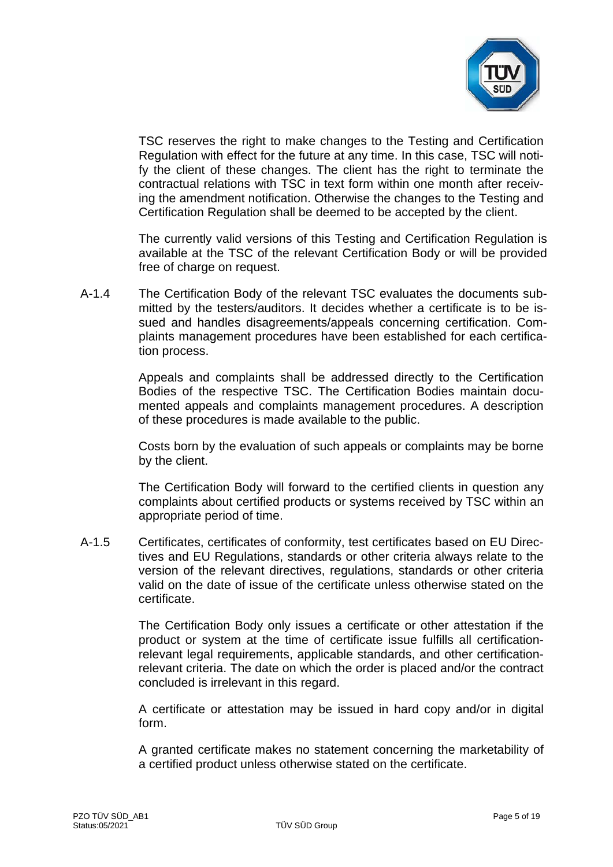

TSC reserves the right to make changes to the Testing and Certification Regulation with effect for the future at any time. In this case, TSC will notify the client of these changes. The client has the right to terminate the contractual relations with TSC in text form within one month after receiving the amendment notification. Otherwise the changes to the Testing and Certification Regulation shall be deemed to be accepted by the client.

The currently valid versions of this Testing and Certification Regulation is available at the TSC of the relevant Certification Body or will be provided free of charge on request.

A-1.4 The Certification Body of the relevant TSC evaluates the documents submitted by the testers/auditors. It decides whether a certificate is to be issued and handles disagreements/appeals concerning certification. Complaints management procedures have been established for each certification process.

> Appeals and complaints shall be addressed directly to the Certification Bodies of the respective TSC. The Certification Bodies maintain documented appeals and complaints management procedures. A description of these procedures is made available to the public.

> Costs born by the evaluation of such appeals or complaints may be borne by the client.

> The Certification Body will forward to the certified clients in question any complaints about certified products or systems received by TSC within an appropriate period of time.

A-1.5 Certificates, certificates of conformity, test certificates based on EU Directives and EU Regulations, standards or other criteria always relate to the version of the relevant directives, regulations, standards or other criteria valid on the date of issue of the certificate unless otherwise stated on the certificate.

> The Certification Body only issues a certificate or other attestation if the product or system at the time of certificate issue fulfills all certificationrelevant legal requirements, applicable standards, and other certificationrelevant criteria. The date on which the order is placed and/or the contract concluded is irrelevant in this regard.

> A certificate or attestation may be issued in hard copy and/or in digital form.

> A granted certificate makes no statement concerning the marketability of a certified product unless otherwise stated on the certificate.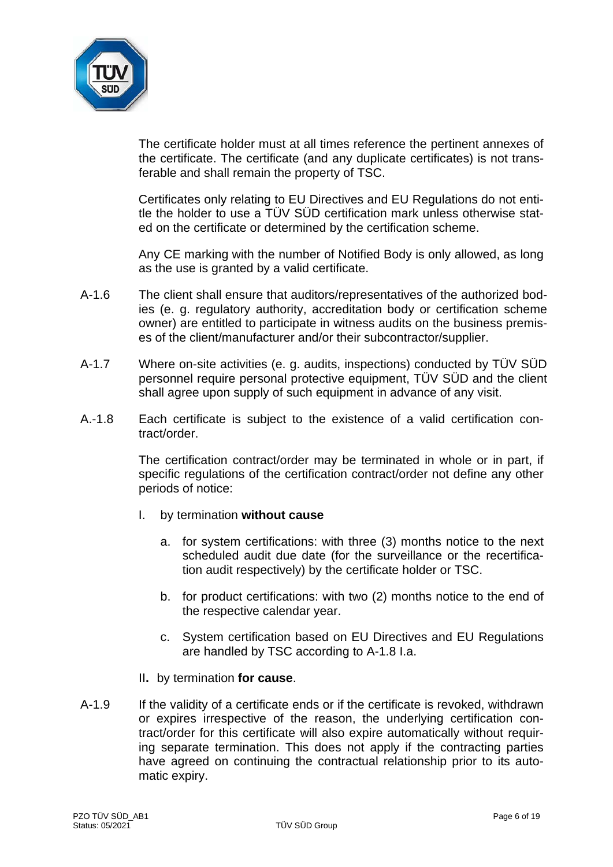

The certificate holder must at all times reference the pertinent annexes of the certificate. The certificate (and any duplicate certificates) is not transferable and shall remain the property of TSC.

Certificates only relating to EU Directives and EU Regulations do not entitle the holder to use a TÜV SÜD certification mark unless otherwise stated on the certificate or determined by the certification scheme.

Any CE marking with the number of Notified Body is only allowed, as long as the use is granted by a valid certificate.

- A-1.6 The client shall ensure that auditors/representatives of the authorized bodies (e. g. regulatory authority, accreditation body or certification scheme owner) are entitled to participate in witness audits on the business premises of the client/manufacturer and/or their subcontractor/supplier.
- A-1.7 Where on-site activities (e. g. audits, inspections) conducted by TÜV SÜD personnel require personal protective equipment, TÜV SÜD and the client shall agree upon supply of such equipment in advance of any visit.
- A.-1.8 Each certificate is subject to the existence of a valid certification contract/order.

The certification contract/order may be terminated in whole or in part, if specific regulations of the certification contract/order not define any other periods of notice:

- I. by termination **without cause**
	- a. for system certifications: with three (3) months notice to the next scheduled audit due date (for the surveillance or the recertification audit respectively) by the certificate holder or TSC.
	- b. for product certifications: with two (2) months notice to the end of the respective calendar year.
	- c. System certification based on EU Directives and EU Regulations are handled by TSC according to A-1.8 I.a.
- II**.** by termination **for cause**.
- A-1.9 If the validity of a certificate ends or if the certificate is revoked, withdrawn or expires irrespective of the reason, the underlying certification contract/order for this certificate will also expire automatically without requiring separate termination. This does not apply if the contracting parties have agreed on continuing the contractual relationship prior to its automatic expiry.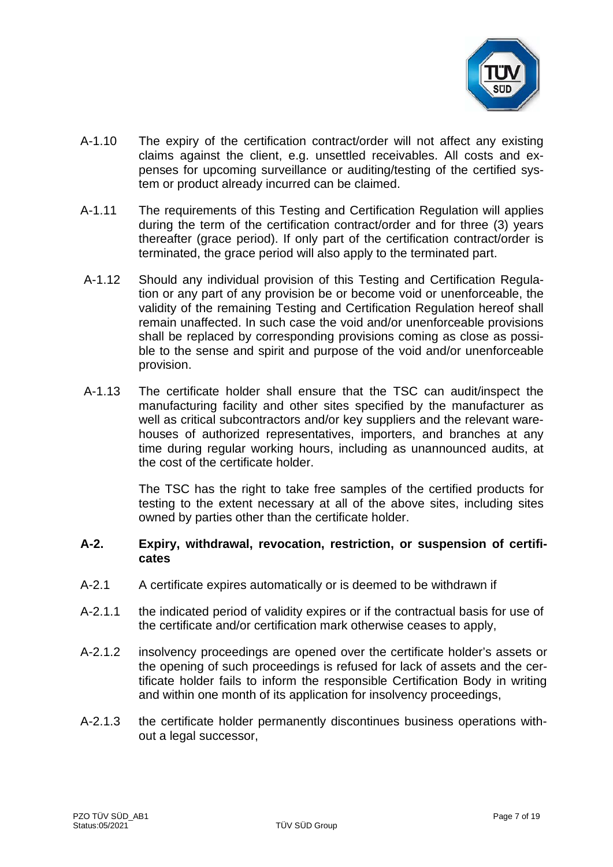

- A-1.10 The expiry of the certification contract/order will not affect any existing claims against the client, e.g. unsettled receivables. All costs and expenses for upcoming surveillance or auditing/testing of the certified system or product already incurred can be claimed.
- A-1.11 The requirements of this Testing and Certification Regulation will applies during the term of the certification contract/order and for three (3) years thereafter (grace period). If only part of the certification contract/order is terminated, the grace period will also apply to the terminated part.
- A-1.12 Should any individual provision of this Testing and Certification Regulation or any part of any provision be or become void or unenforceable, the validity of the remaining Testing and Certification Regulation hereof shall remain unaffected. In such case the void and/or unenforceable provisions shall be replaced by corresponding provisions coming as close as possible to the sense and spirit and purpose of the void and/or unenforceable provision.
- A-1.13 The certificate holder shall ensure that the TSC can audit/inspect the manufacturing facility and other sites specified by the manufacturer as well as critical subcontractors and/or key suppliers and the relevant warehouses of authorized representatives, importers, and branches at any time during regular working hours, including as unannounced audits, at the cost of the certificate holder.

The TSC has the right to take free samples of the certified products for testing to the extent necessary at all of the above sites, including sites owned by parties other than the certificate holder.

#### **A-2. Expiry, withdrawal, revocation, restriction, or suspension of certificates**

- A-2.1 A certificate expires automatically or is deemed to be withdrawn if
- A-2.1.1 the indicated period of validity expires or if the contractual basis for use of the certificate and/or certification mark otherwise ceases to apply,
- A-2.1.2 insolvency proceedings are opened over the certificate holder's assets or the opening of such proceedings is refused for lack of assets and the certificate holder fails to inform the responsible Certification Body in writing and within one month of its application for insolvency proceedings,
- A-2.1.3 the certificate holder permanently discontinues business operations without a legal successor,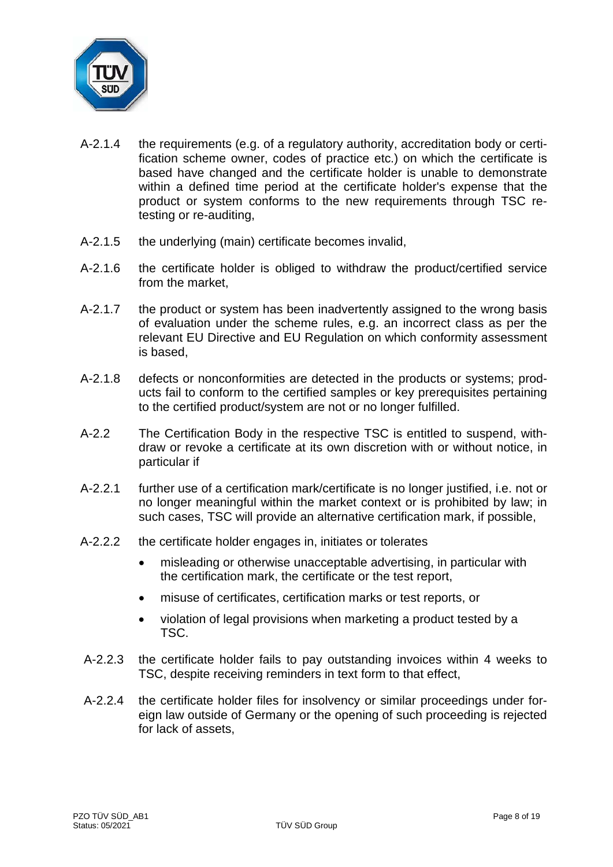

- A-2.1.4 the requirements (e.g. of a regulatory authority, accreditation body or certification scheme owner, codes of practice etc.) on which the certificate is based have changed and the certificate holder is unable to demonstrate within a defined time period at the certificate holder's expense that the product or system conforms to the new requirements through TSC retesting or re-auditing,
- A-2.1.5 the underlying (main) certificate becomes invalid,
- A-2.1.6 the certificate holder is obliged to withdraw the product/certified service from the market,
- A-2.1.7 the product or system has been inadvertently assigned to the wrong basis of evaluation under the scheme rules, e.g. an incorrect class as per the relevant EU Directive and EU Regulation on which conformity assessment is based,
- A-2.1.8 defects or nonconformities are detected in the products or systems; products fail to conform to the certified samples or key prerequisites pertaining to the certified product/system are not or no longer fulfilled.
- A-2.2 The Certification Body in the respective TSC is entitled to suspend, withdraw or revoke a certificate at its own discretion with or without notice, in particular if
- A-2.2.1 further use of a certification mark/certificate is no longer justified, i.e. not or no longer meaningful within the market context or is prohibited by law; in such cases, TSC will provide an alternative certification mark, if possible,
- A-2.2.2 the certificate holder engages in, initiates or tolerates
	- misleading or otherwise unacceptable advertising, in particular with the certification mark, the certificate or the test report,
	- misuse of certificates, certification marks or test reports, or
	- violation of legal provisions when marketing a product tested by a TSC.
- A-2.2.3 the certificate holder fails to pay outstanding invoices within 4 weeks to TSC, despite receiving reminders in text form to that effect,
- A-2.2.4 the certificate holder files for insolvency or similar proceedings under foreign law outside of Germany or the opening of such proceeding is rejected for lack of assets,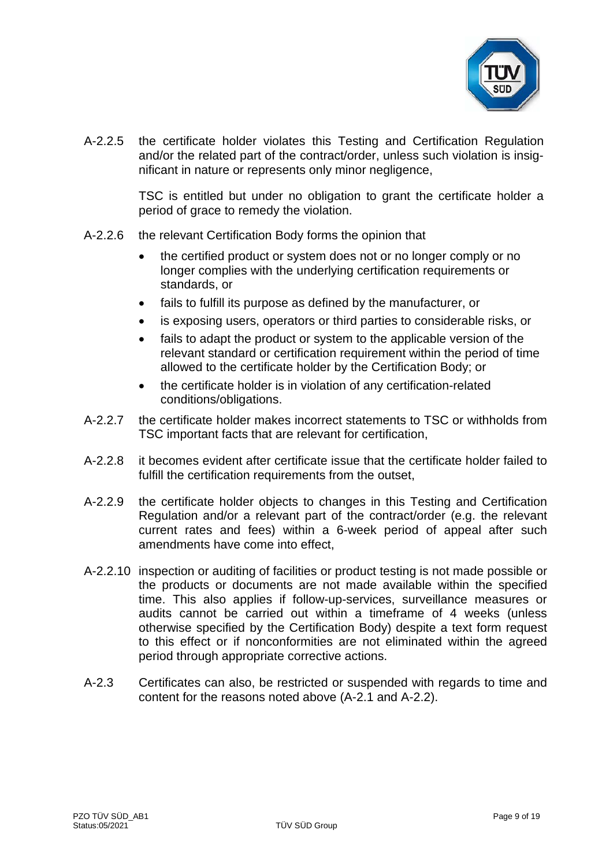

A-2.2.5 the certificate holder violates this Testing and Certification Regulation and/or the related part of the contract/order, unless such violation is insignificant in nature or represents only minor negligence,

> TSC is entitled but under no obligation to grant the certificate holder a period of grace to remedy the violation.

- A-2.2.6 the relevant Certification Body forms the opinion that
	- the certified product or system does not or no longer comply or no longer complies with the underlying certification requirements or standards, or
	- fails to fulfill its purpose as defined by the manufacturer, or
	- is exposing users, operators or third parties to considerable risks, or
	- fails to adapt the product or system to the applicable version of the relevant standard or certification requirement within the period of time allowed to the certificate holder by the Certification Body; or
	- the certificate holder is in violation of any certification-related conditions/obligations.
- A-2.2.7 the certificate holder makes incorrect statements to TSC or withholds from TSC important facts that are relevant for certification,
- A-2.2.8 it becomes evident after certificate issue that the certificate holder failed to fulfill the certification requirements from the outset,
- A-2.2.9 the certificate holder objects to changes in this Testing and Certification Regulation and/or a relevant part of the contract/order (e.g. the relevant current rates and fees) within a 6-week period of appeal after such amendments have come into effect,
- A-2.2.10 inspection or auditing of facilities or product testing is not made possible or the products or documents are not made available within the specified time. This also applies if follow-up-services, surveillance measures or audits cannot be carried out within a timeframe of 4 weeks (unless otherwise specified by the Certification Body) despite a text form request to this effect or if nonconformities are not eliminated within the agreed period through appropriate corrective actions.
- A-2.3 Certificates can also, be restricted or suspended with regards to time and content for the reasons noted above (A-2.1 and A-2.2).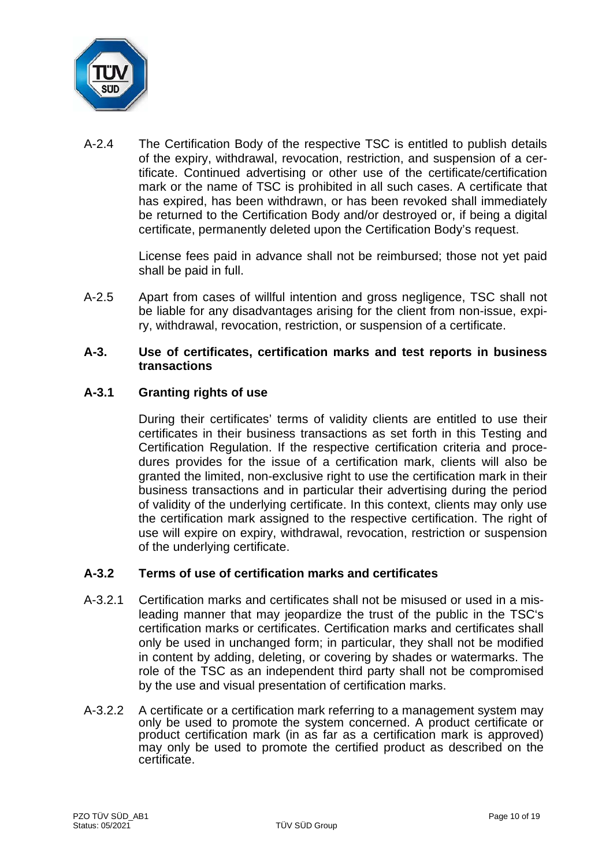

A-2.4 The Certification Body of the respective TSC is entitled to publish details of the expiry, withdrawal, revocation, restriction, and suspension of a certificate. Continued advertising or other use of the certificate/certification mark or the name of TSC is prohibited in all such cases. A certificate that has expired, has been withdrawn, or has been revoked shall immediately be returned to the Certification Body and/or destroyed or, if being a digital certificate, permanently deleted upon the Certification Body's request.

> License fees paid in advance shall not be reimbursed; those not yet paid shall be paid in full.

A-2.5 Apart from cases of willful intention and gross negligence, TSC shall not be liable for any disadvantages arising for the client from non-issue, expiry, withdrawal, revocation, restriction, or suspension of a certificate.

#### **A-3. Use of certificates, certification marks and test reports in business transactions**

# **A-3.1 Granting rights of use**

During their certificates' terms of validity clients are entitled to use their certificates in their business transactions as set forth in this Testing and Certification Regulation. If the respective certification criteria and procedures provides for the issue of a certification mark, clients will also be granted the limited, non-exclusive right to use the certification mark in their business transactions and in particular their advertising during the period of validity of the underlying certificate. In this context, clients may only use the certification mark assigned to the respective certification. The right of use will expire on expiry, withdrawal, revocation, restriction or suspension of the underlying certificate.

# **A-3.2 Terms of use of certification marks and certificates**

- A-3.2.1 Certification marks and certificates shall not be misused or used in a misleading manner that may jeopardize the trust of the public in the TSC's certification marks or certificates. Certification marks and certificates shall only be used in unchanged form; in particular, they shall not be modified in content by adding, deleting, or covering by shades or watermarks. The role of the TSC as an independent third party shall not be compromised by the use and visual presentation of certification marks.
- A-3.2.2 A certificate or a certification mark referring to a management system may only be used to promote the system concerned. A product certificate or product certification mark (in as far as a certification mark is approved) may only be used to promote the certified product as described on the certificate.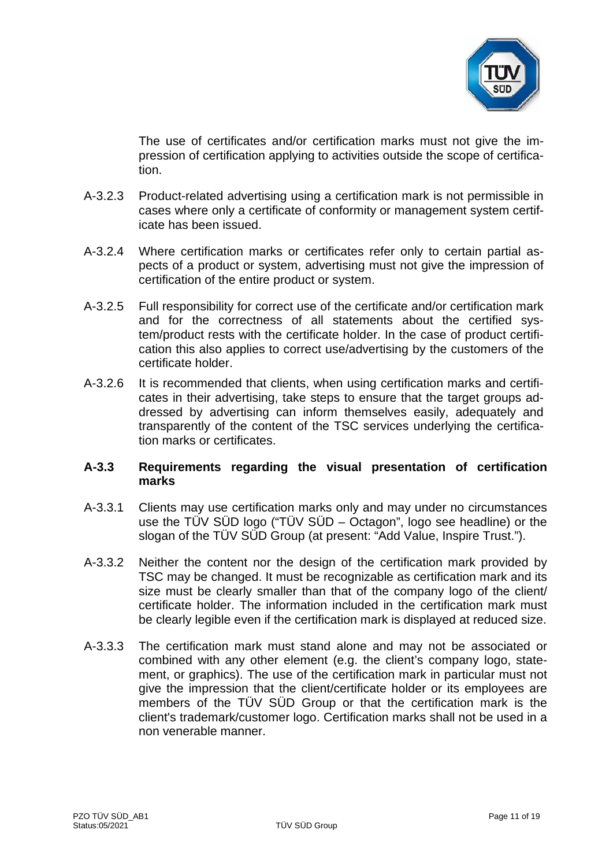

The use of certificates and/or certification marks must not give the impression of certification applying to activities outside the scope of certification.

- A-3.2.3 Product-related advertising using a certification mark is not permissible in cases where only a certificate of conformity or management system certificate has been issued.
- A-3.2.4 Where certification marks or certificates refer only to certain partial aspects of a product or system, advertising must not give the impression of certification of the entire product or system.
- A-3.2.5 Full responsibility for correct use of the certificate and/or certification mark and for the correctness of all statements about the certified system/product rests with the certificate holder. In the case of product certification this also applies to correct use/advertising by the customers of the certificate holder.
- A-3.2.6 It is recommended that clients, when using certification marks and certificates in their advertising, take steps to ensure that the target groups addressed by advertising can inform themselves easily, adequately and transparently of the content of the TSC services underlying the certification marks or certificates.

# **A-3.3 Requirements regarding the visual presentation of certification marks**

- A-3.3.1 Clients may use certification marks only and may under no circumstances use the TÜV SÜD logo ("TÜV SÜD – Octagon", logo see headline) or the slogan of the TÜV SÜD Group (at present: "Add Value, Inspire Trust.").
- A-3.3.2 Neither the content nor the design of the certification mark provided by TSC may be changed. It must be recognizable as certification mark and its size must be clearly smaller than that of the company logo of the client/ certificate holder. The information included in the certification mark must be clearly legible even if the certification mark is displayed at reduced size.
- A-3.3.3 The certification mark must stand alone and may not be associated or combined with any other element (e.g. the client's company logo, statement, or graphics). The use of the certification mark in particular must not give the impression that the client/certificate holder or its employees are members of the TÜV SÜD Group or that the certification mark is the client's trademark/customer logo. Certification marks shall not be used in a non venerable manner.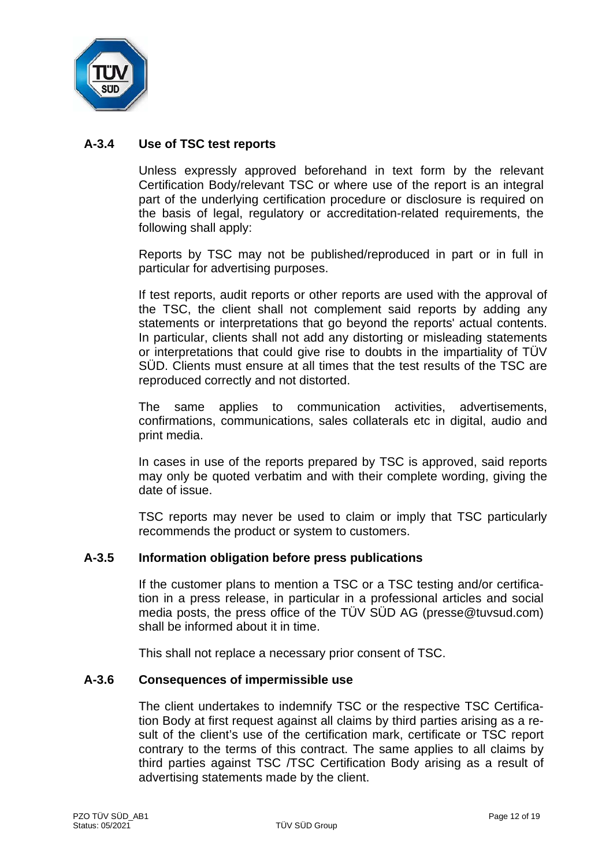

# **A-3.4 Use of TSC test reports**

Unless expressly approved beforehand in text form by the relevant Certification Body/relevant TSC or where use of the report is an integral part of the underlying certification procedure or disclosure is required on the basis of legal, regulatory or accreditation-related requirements, the following shall apply:

Reports by TSC may not be published/reproduced in part or in full in particular for advertising purposes.

If test reports, audit reports or other reports are used with the approval of the TSC, the client shall not complement said reports by adding any statements or interpretations that go beyond the reports' actual contents. In particular, clients shall not add any distorting or misleading statements or interpretations that could give rise to doubts in the impartiality of TÜV SÜD. Clients must ensure at all times that the test results of the TSC are reproduced correctly and not distorted.

The same applies to communication activities, advertisements, confirmations, communications, sales collaterals etc in digital, audio and print media.

In cases in use of the reports prepared by TSC is approved, said reports may only be quoted verbatim and with their complete wording, giving the date of issue.

TSC reports may never be used to claim or imply that TSC particularly recommends the product or system to customers.

#### **A-3.5 Information obligation before press publications**

If the customer plans to mention a TSC or a TSC testing and/or certification in a press release, in particular in a professional articles and social media posts, the press office of the TÜV SÜD AG (presse@tuvsud.com) shall be informed about it in time.

This shall not replace a necessary prior consent of TSC.

#### **A-3.6 Consequences of impermissible use**

The client undertakes to indemnify TSC or the respective TSC Certification Body at first request against all claims by third parties arising as a result of the client's use of the certification mark, certificate or TSC report contrary to the terms of this contract. The same applies to all claims by third parties against TSC /TSC Certification Body arising as a result of advertising statements made by the client.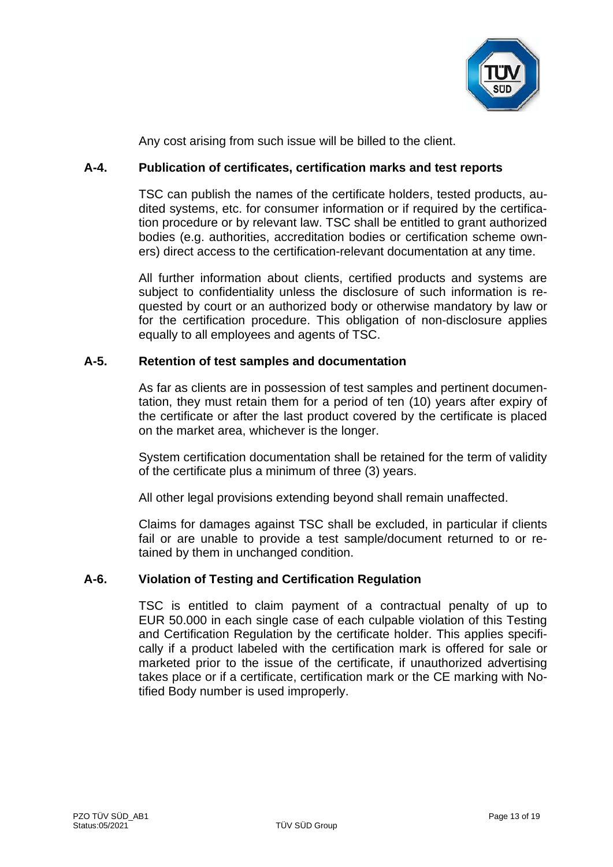

Any cost arising from such issue will be billed to the client.

# **A-4. Publication of certificates, certification marks and test reports**

TSC can publish the names of the certificate holders, tested products, audited systems, etc. for consumer information or if required by the certification procedure or by relevant law. TSC shall be entitled to grant authorized bodies (e.g. authorities, accreditation bodies or certification scheme owners) direct access to the certification-relevant documentation at any time.

All further information about clients, certified products and systems are subject to confidentiality unless the disclosure of such information is requested by court or an authorized body or otherwise mandatory by law or for the certification procedure. This obligation of non-disclosure applies equally to all employees and agents of TSC.

# **A-5. Retention of test samples and documentation**

As far as clients are in possession of test samples and pertinent documentation, they must retain them for a period of ten (10) years after expiry of the certificate or after the last product covered by the certificate is placed on the market area, whichever is the longer.

System certification documentation shall be retained for the term of validity of the certificate plus a minimum of three (3) years.

All other legal provisions extending beyond shall remain unaffected.

Claims for damages against TSC shall be excluded, in particular if clients fail or are unable to provide a test sample/document returned to or retained by them in unchanged condition.

# **A-6. Violation of Testing and Certification Regulation**

TSC is entitled to claim payment of a contractual penalty of up to EUR 50.000 in each single case of each culpable violation of this Testing and Certification Regulation by the certificate holder. This applies specifically if a product labeled with the certification mark is offered for sale or marketed prior to the issue of the certificate, if unauthorized advertising takes place or if a certificate, certification mark or the CE marking with Notified Body number is used improperly.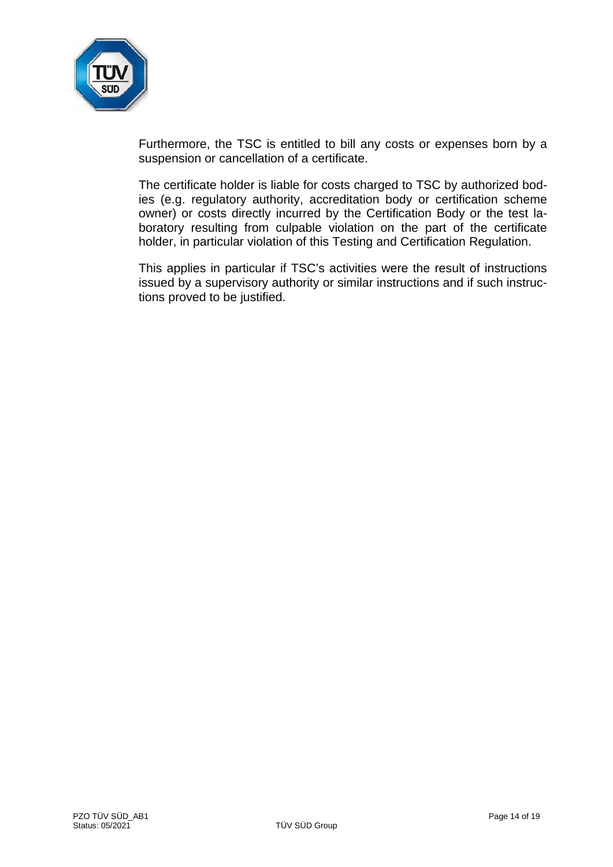

Furthermore, the TSC is entitled to bill any costs or expenses born by a suspension or cancellation of a certificate.

The certificate holder is liable for costs charged to TSC by authorized bodies (e.g. regulatory authority, accreditation body or certification scheme owner) or costs directly incurred by the Certification Body or the test laboratory resulting from culpable violation on the part of the certificate holder, in particular violation of this Testing and Certification Regulation.

This applies in particular if TSC's activities were the result of instructions issued by a supervisory authority or similar instructions and if such instructions proved to be justified.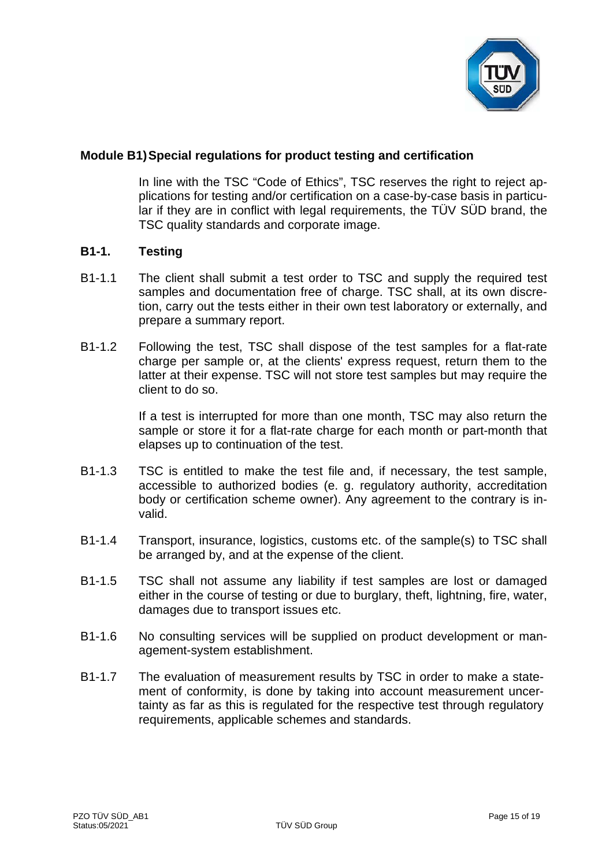

# **Module B1)Special regulations for product testing and certification**

In line with the TSC "Code of Ethics", TSC reserves the right to reject applications for testing and/or certification on a case-by-case basis in particular if they are in conflict with legal requirements, the TÜV SÜD brand, the TSC quality standards and corporate image.

#### **B1-1. Testing**

- B1-1.1 The client shall submit a test order to TSC and supply the required test samples and documentation free of charge. TSC shall, at its own discretion, carry out the tests either in their own test laboratory or externally, and prepare a summary report.
- B1-1.2 Following the test, TSC shall dispose of the test samples for a flat-rate charge per sample or, at the clients' express request, return them to the latter at their expense. TSC will not store test samples but may require the client to do so.

If a test is interrupted for more than one month, TSC may also return the sample or store it for a flat-rate charge for each month or part-month that elapses up to continuation of the test.

- B1-1.3 TSC is entitled to make the test file and, if necessary, the test sample, accessible to authorized bodies (e. g. regulatory authority, accreditation body or certification scheme owner). Any agreement to the contrary is invalid.
- B1-1.4 Transport, insurance, logistics, customs etc. of the sample(s) to TSC shall be arranged by, and at the expense of the client.
- B1-1.5 TSC shall not assume any liability if test samples are lost or damaged either in the course of testing or due to burglary, theft, lightning, fire, water, damages due to transport issues etc.
- B1-1.6 No consulting services will be supplied on product development or management-system establishment.
- B1-1.7 The evaluation of measurement results by TSC in order to make a statement of conformity, is done by taking into account measurement uncertainty as far as this is regulated for the respective test through regulatory requirements, applicable schemes and standards.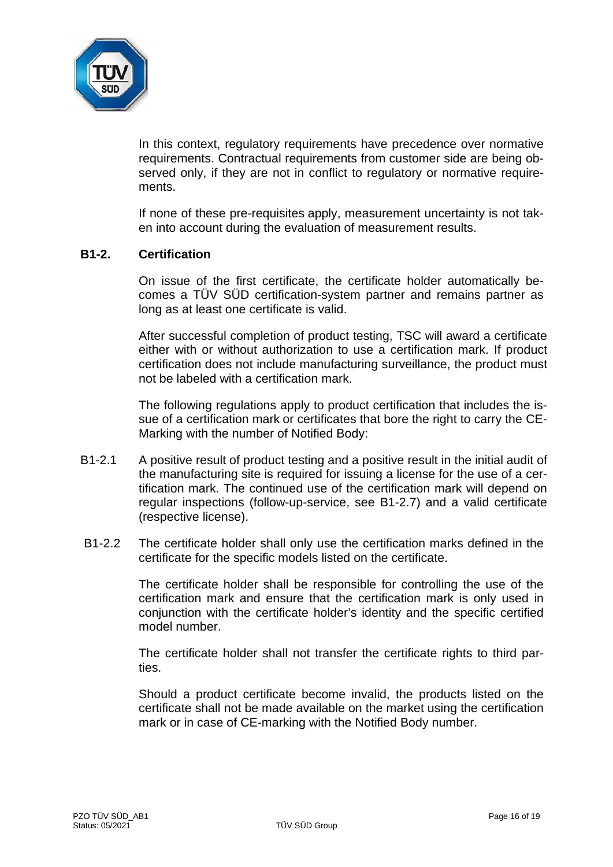

In this context, regulatory requirements have precedence over normative requirements. Contractual requirements from customer side are being observed only, if they are not in conflict to regulatory or normative requirements.

If none of these pre-requisites apply, measurement uncertainty is not taken into account during the evaluation of measurement results.

#### **B1-2. Certification**

On issue of the first certificate, the certificate holder automatically becomes a TÜV SÜD certification-system partner and remains partner as long as at least one certificate is valid.

After successful completion of product testing, TSC will award a certificate either with or without authorization to use a certification mark. If product certification does not include manufacturing surveillance, the product must not be labeled with a certification mark.

The following regulations apply to product certification that includes the issue of a certification mark or certificates that bore the right to carry the CE-Marking with the number of Notified Body:

- B1-2.1 A positive result of product testing and a positive result in the initial audit of the manufacturing site is required for issuing a license for the use of a certification mark. The continued use of the certification mark will depend on regular inspections (follow-up-service, see B1-2.7) and a valid certificate (respective license).
- B1-2.2 The certificate holder shall only use the certification marks defined in the certificate for the specific models listed on the certificate.

The certificate holder shall be responsible for controlling the use of the certification mark and ensure that the certification mark is only used in conjunction with the certificate holder's identity and the specific certified model number.

The certificate holder shall not transfer the certificate rights to third parties.

Should a product certificate become invalid, the products listed on the certificate shall not be made available on the market using the certification mark or in case of CE-marking with the Notified Body number.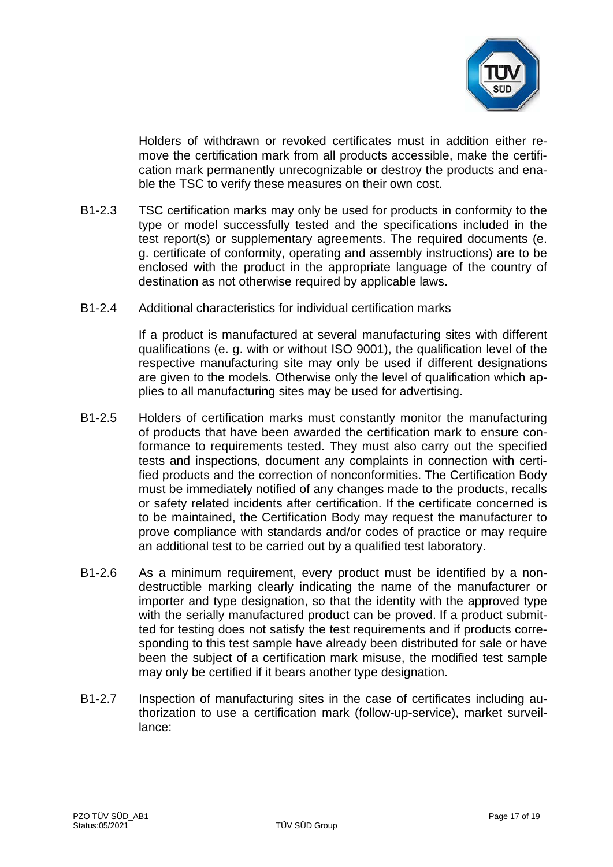

Holders of withdrawn or revoked certificates must in addition either remove the certification mark from all products accessible, make the certification mark permanently unrecognizable or destroy the products and enable the TSC to verify these measures on their own cost.

- B1-2.3 TSC certification marks may only be used for products in conformity to the type or model successfully tested and the specifications included in the test report(s) or supplementary agreements. The required documents (e. g. certificate of conformity, operating and assembly instructions) are to be enclosed with the product in the appropriate language of the country of destination as not otherwise required by applicable laws.
- B1-2.4 Additional characteristics for individual certification marks

If a product is manufactured at several manufacturing sites with different qualifications (e. g. with or without ISO 9001), the qualification level of the respective manufacturing site may only be used if different designations are given to the models. Otherwise only the level of qualification which applies to all manufacturing sites may be used for advertising.

- B1-2.5 Holders of certification marks must constantly monitor the manufacturing of products that have been awarded the certification mark to ensure conformance to requirements tested. They must also carry out the specified tests and inspections, document any complaints in connection with certified products and the correction of nonconformities. The Certification Body must be immediately notified of any changes made to the products, recalls or safety related incidents after certification. If the certificate concerned is to be maintained, the Certification Body may request the manufacturer to prove compliance with standards and/or codes of practice or may require an additional test to be carried out by a qualified test laboratory.
- B1-2.6 As a minimum requirement, every product must be identified by a nondestructible marking clearly indicating the name of the manufacturer or importer and type designation, so that the identity with the approved type with the serially manufactured product can be proved. If a product submitted for testing does not satisfy the test requirements and if products corresponding to this test sample have already been distributed for sale or have been the subject of a certification mark misuse, the modified test sample may only be certified if it bears another type designation.
- B1-2.7 Inspection of manufacturing sites in the case of certificates including authorization to use a certification mark (follow-up-service), market surveillance: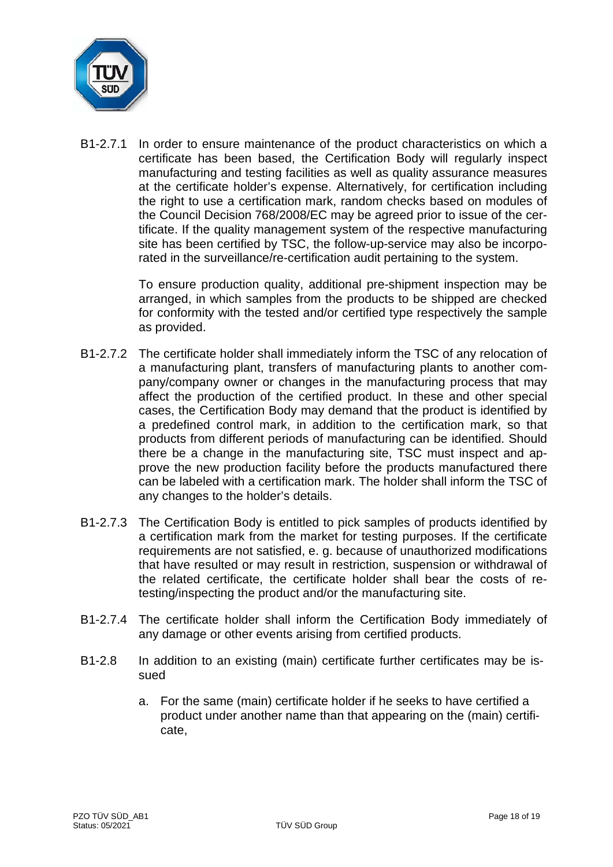

B1-2.7.1 In order to ensure maintenance of the product characteristics on which a certificate has been based, the Certification Body will regularly inspect manufacturing and testing facilities as well as quality assurance measures at the certificate holder's expense. Alternatively, for certification including the right to use a certification mark, random checks based on modules of the Council Decision 768/2008/EC may be agreed prior to issue of the certificate. If the quality management system of the respective manufacturing site has been certified by TSC, the follow-up-service may also be incorporated in the surveillance/re-certification audit pertaining to the system.

> To ensure production quality, additional pre-shipment inspection may be arranged, in which samples from the products to be shipped are checked for conformity with the tested and/or certified type respectively the sample as provided.

- B1-2.7.2 The certificate holder shall immediately inform the TSC of any relocation of a manufacturing plant, transfers of manufacturing plants to another company/company owner or changes in the manufacturing process that may affect the production of the certified product. In these and other special cases, the Certification Body may demand that the product is identified by a predefined control mark, in addition to the certification mark, so that products from different periods of manufacturing can be identified. Should there be a change in the manufacturing site, TSC must inspect and approve the new production facility before the products manufactured there can be labeled with a certification mark. The holder shall inform the TSC of any changes to the holder's details.
- B1-2.7.3 The Certification Body is entitled to pick samples of products identified by a certification mark from the market for testing purposes. If the certificate requirements are not satisfied, e. g. because of unauthorized modifications that have resulted or may result in restriction, suspension or withdrawal of the related certificate, the certificate holder shall bear the costs of retesting/inspecting the product and/or the manufacturing site.
- B1-2.7.4 The certificate holder shall inform the Certification Body immediately of any damage or other events arising from certified products.
- B1-2.8 In addition to an existing (main) certificate further certificates may be issued
	- a. For the same (main) certificate holder if he seeks to have certified a product under another name than that appearing on the (main) certificate,